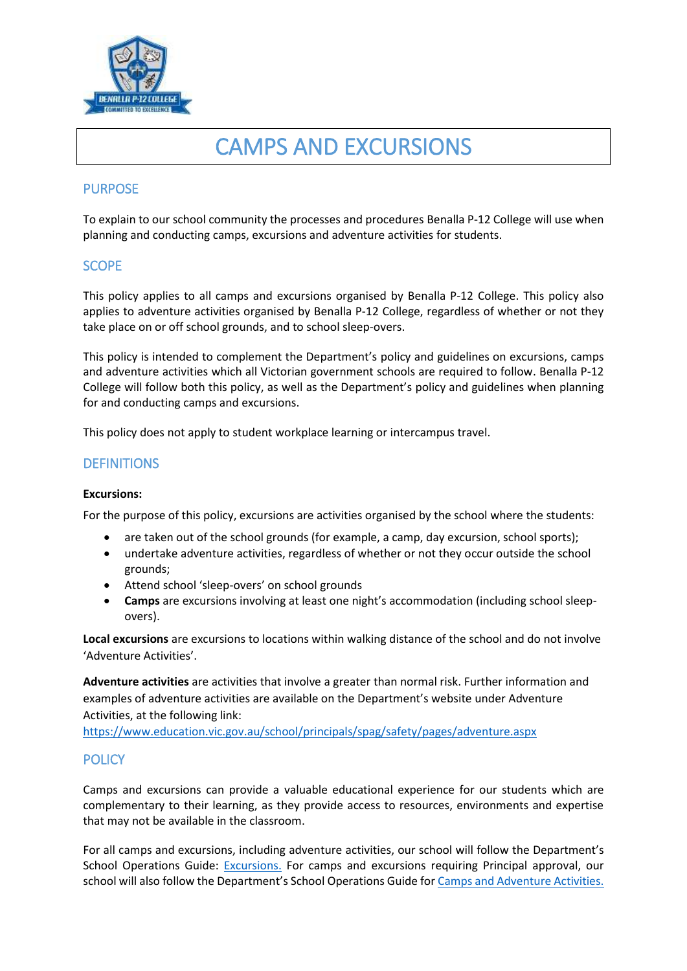

# CAMPS AND EXCURSIONS

# PURPOSE

To explain to our school community the processes and procedures Benalla P-12 College will use when planning and conducting camps, excursions and adventure activities for students.

# **SCOPE**

This policy applies to all camps and excursions organised by Benalla P-12 College. This policy also applies to adventure activities organised by Benalla P-12 College, regardless of whether or not they take place on or off school grounds, and to school sleep-overs.

This policy is intended to complement the Department's policy and guidelines on excursions, camps and adventure activities which all Victorian government schools are required to follow. Benalla P-12 College will follow both this policy, as well as the Department's policy and guidelines when planning for and conducting camps and excursions.

This policy does not apply to student workplace learning or intercampus travel.

# **DEFINITIONS**

#### **Excursions:**

For the purpose of this policy, excursions are activities organised by the school where the students:

- are taken out of the school grounds (for example, a camp, day excursion, school sports);
- undertake adventure activities, regardless of whether or not they occur outside the school grounds;
- Attend school 'sleep-overs' on school grounds
- **Camps** are excursions involving at least one night's accommodation (including school sleepovers).

**Local excursions** are excursions to locations within walking distance of the school and do not involve 'Adventure Activities'.

**Adventure activities** are activities that involve a greater than normal risk. Further information and examples of adventure activities are available on the Department's website under Adventure Activities, at the following link:

<https://www.education.vic.gov.au/school/principals/spag/safety/pages/adventure.aspx>

# **POLICY**

Camps and excursions can provide a valuable educational experience for our students which are complementary to their learning, as they provide access to resources, environments and expertise that may not be available in the classroom.

For all camps and excursions, including adventure activities, our school will follow the Department's School Operations Guide: [Excursions.](https://www2.education.vic.gov.au/pal/excursions/policy) For camps and excursions requiring Principal approval, our school will also follow the Department's School Operations Guide fo[r Camps and Adventure Activities.](https://www2.education.vic.gov.au/pal/excursions/guidance)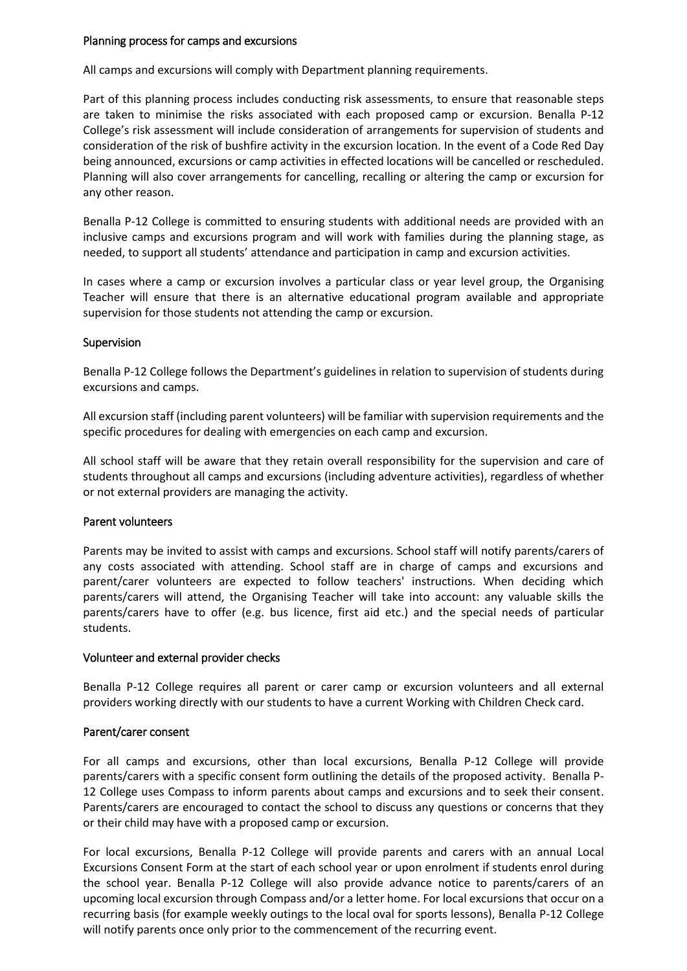#### Planning process for camps and excursions

All camps and excursions will comply with Department planning requirements.

Part of this planning process includes conducting risk assessments, to ensure that reasonable steps are taken to minimise the risks associated with each proposed camp or excursion. Benalla P-12 College's risk assessment will include consideration of arrangements for supervision of students and consideration of the risk of bushfire activity in the excursion location. In the event of a Code Red Day being announced, excursions or camp activities in effected locations will be cancelled or rescheduled. Planning will also cover arrangements for cancelling, recalling or altering the camp or excursion for any other reason.

Benalla P-12 College is committed to ensuring students with additional needs are provided with an inclusive camps and excursions program and will work with families during the planning stage, as needed, to support all students' attendance and participation in camp and excursion activities.

In cases where a camp or excursion involves a particular class or year level group, the Organising Teacher will ensure that there is an alternative educational program available and appropriate supervision for those students not attending the camp or excursion.

## Supervision

Benalla P-12 College follows the Department's guidelines in relation to supervision of students during excursions and camps.

All excursion staff (including parent volunteers) will be familiar with supervision requirements and the specific procedures for dealing with emergencies on each camp and excursion.

All school staff will be aware that they retain overall responsibility for the supervision and care of students throughout all camps and excursions (including adventure activities), regardless of whether or not external providers are managing the activity.

#### Parent volunteers

Parents may be invited to assist with camps and excursions. School staff will notify parents/carers of any costs associated with attending. School staff are in charge of camps and excursions and parent/carer volunteers are expected to follow teachers' instructions. When deciding which parents/carers will attend, the Organising Teacher will take into account: any valuable skills the parents/carers have to offer (e.g. bus licence, first aid etc.) and the special needs of particular students.

#### Volunteer and external provider checks

Benalla P-12 College requires all parent or carer camp or excursion volunteers and all external providers working directly with our students to have a current Working with Children Check card.

#### Parent/carer consent

For all camps and excursions, other than local excursions, Benalla P-12 College will provide parents/carers with a specific consent form outlining the details of the proposed activity. Benalla P-12 College uses Compass to inform parents about camps and excursions and to seek their consent. Parents/carers are encouraged to contact the school to discuss any questions or concerns that they or their child may have with a proposed camp or excursion.

For local excursions, Benalla P-12 College will provide parents and carers with an annual Local Excursions Consent Form at the start of each school year or upon enrolment if students enrol during the school year. Benalla P-12 College will also provide advance notice to parents/carers of an upcoming local excursion through Compass and/or a letter home. For local excursions that occur on a recurring basis (for example weekly outings to the local oval for sports lessons), Benalla P-12 College will notify parents once only prior to the commencement of the recurring event.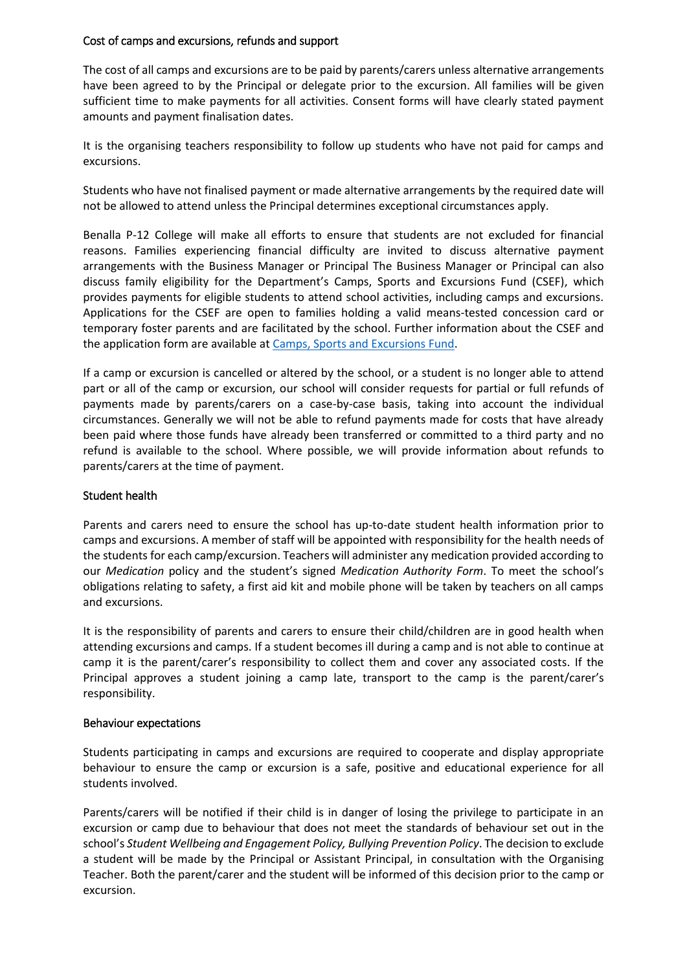## Cost of camps and excursions, refunds and support

The cost of all camps and excursions are to be paid by parents/carers unless alternative arrangements have been agreed to by the Principal or delegate prior to the excursion. All families will be given sufficient time to make payments for all activities. Consent forms will have clearly stated payment amounts and payment finalisation dates.

It is the organising teachers responsibility to follow up students who have not paid for camps and excursions.

Students who have not finalised payment or made alternative arrangements by the required date will not be allowed to attend unless the Principal determines exceptional circumstances apply.

Benalla P-12 College will make all efforts to ensure that students are not excluded for financial reasons. Families experiencing financial difficulty are invited to discuss alternative payment arrangements with the Business Manager or Principal The Business Manager or Principal can also discuss family eligibility for the Department's Camps, Sports and Excursions Fund (CSEF), which provides payments for eligible students to attend school activities, including camps and excursions. Applications for the CSEF are open to families holding a valid means-tested concession card or temporary foster parents and are facilitated by the school. Further information about the CSEF and the application form are available at [Camps, Sports and Excursions Fund.](http://www.education.vic.gov.au/about/programs/Pages/csef.aspx)

If a camp or excursion is cancelled or altered by the school, or a student is no longer able to attend part or all of the camp or excursion, our school will consider requests for partial or full refunds of payments made by parents/carers on a case-by-case basis, taking into account the individual circumstances. Generally we will not be able to refund payments made for costs that have already been paid where those funds have already been transferred or committed to a third party and no refund is available to the school. Where possible, we will provide information about refunds to parents/carers at the time of payment.

#### Student health

Parents and carers need to ensure the school has up-to-date student health information prior to camps and excursions. A member of staff will be appointed with responsibility for the health needs of the students for each camp/excursion. Teachers will administer any medication provided according to our *Medication* policy and the student's signed *Medication Authority Form*. To meet the school's obligations relating to safety, a first aid kit and mobile phone will be taken by teachers on all camps and excursions.

It is the responsibility of parents and carers to ensure their child/children are in good health when attending excursions and camps. If a student becomes ill during a camp and is not able to continue at camp it is the parent/carer's responsibility to collect them and cover any associated costs. If the Principal approves a student joining a camp late, transport to the camp is the parent/carer's responsibility.

#### Behaviour expectations

Students participating in camps and excursions are required to cooperate and display appropriate behaviour to ensure the camp or excursion is a safe, positive and educational experience for all students involved.

Parents/carers will be notified if their child is in danger of losing the privilege to participate in an excursion or camp due to behaviour that does not meet the standards of behaviour set out in the school's *Student Wellbeing and Engagement Policy, Bullying Prevention Policy*. The decision to exclude a student will be made by the Principal or Assistant Principal, in consultation with the Organising Teacher. Both the parent/carer and the student will be informed of this decision prior to the camp or excursion.